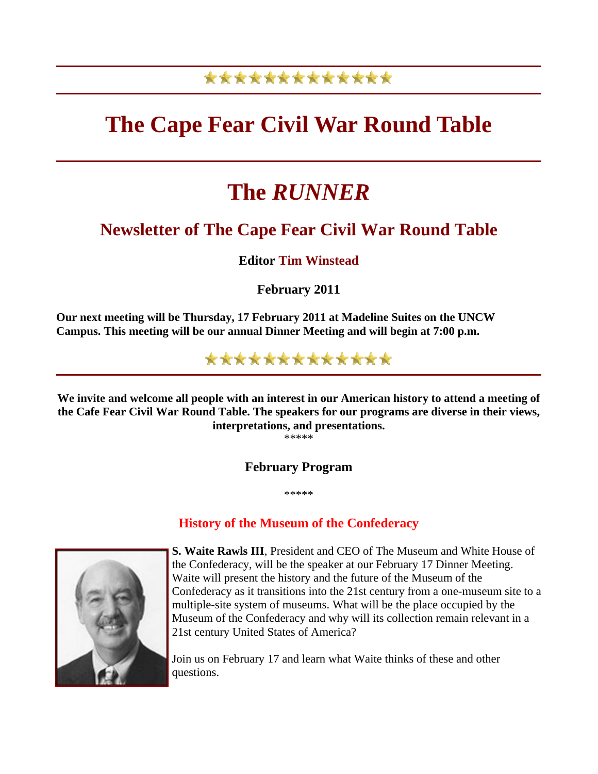## \*\*\*\*\*\*\*\*\*\*\*\*\*

# **The Cape Fear Civil War Round Table**

# **The** *RUNNER*

## **Newsletter of The Cape Fear Civil War Round Table**

**Editor Tim Winstead**

**February 2011** 

**Our next meeting will be Thursday, 17 February 2011 at Madeline Suites on the UNCW Campus. This meeting will be our annual Dinner Meeting and will begin at 7:00 p.m.** 



**We invite and welcome all people with an interest in our American history to attend a meeting of the Cafe Fear Civil War Round Table. The speakers for our programs are diverse in their views, interpretations, and presentations.** 

\*\*\*\*\*

**February Program** 

\*\*\*\*\*

### **History of the Museum of the Confederacy**



**S. Waite Rawls III**, President and CEO of The Museum and White House of the Confederacy, will be the speaker at our February 17 Dinner Meeting. Waite will present the history and the future of the Museum of the Confederacy as it transitions into the 21st century from a one-museum site to a multiple-site system of museums. What will be the place occupied by the Museum of the Confederacy and why will its collection remain relevant in a 21st century United States of America?

Join us on February 17 and learn what Waite thinks of these and other questions.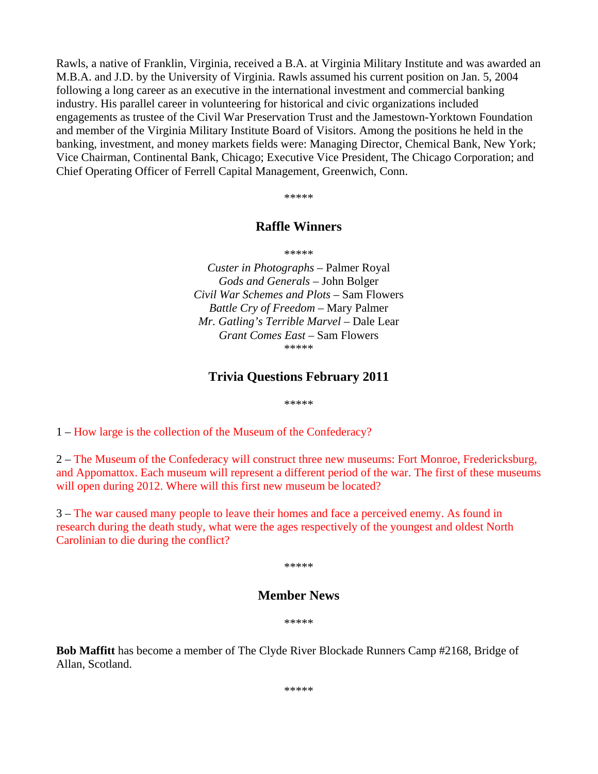Rawls, a native of Franklin, Virginia, received a B.A. at Virginia Military Institute and was awarded an M.B.A. and J.D. by the University of Virginia. Rawls assumed his current position on Jan. 5, 2004 following a long career as an executive in the international investment and commercial banking industry. His parallel career in volunteering for historical and civic organizations included engagements as trustee of the Civil War Preservation Trust and the Jamestown-Yorktown Foundation and member of the Virginia Military Institute Board of Visitors. Among the positions he held in the banking, investment, and money markets fields were: Managing Director, Chemical Bank, New York; Vice Chairman, Continental Bank, Chicago; Executive Vice President, The Chicago Corporation; and Chief Operating Officer of Ferrell Capital Management, Greenwich, Conn.

\*\*\*\*\*

#### **Raffle Winners**

\*\*\*\*\*

*Custer in Photographs* – Palmer Royal *Gods and Generals* – John Bolger *Civil War Schemes and Plots* – Sam Flowers *Battle Cry of Freedom* – Mary Palmer *Mr. Gatling's Terrible Marvel* – Dale Lear *Grant Comes East* – Sam Flowers \*\*\*\*\*

#### **Trivia Questions February 2011**

\*\*\*\*\*

1 – How large is the collection of the Museum of the Confederacy?

2 – The Museum of the Confederacy will construct three new museums: Fort Monroe, Fredericksburg, and Appomattox. Each museum will represent a different period of the war. The first of these museums will open during 2012. Where will this first new museum be located?

3 – The war caused many people to leave their homes and face a perceived enemy. As found in research during the death study, what were the ages respectively of the youngest and oldest North Carolinian to die during the conflict?

\*\*\*\*\*

#### **Member News**

\*\*\*\*\*

**Bob Maffitt** has become a member of The Clyde River Blockade Runners Camp #2168, Bridge of Allan, Scotland.

\*\*\*\*\*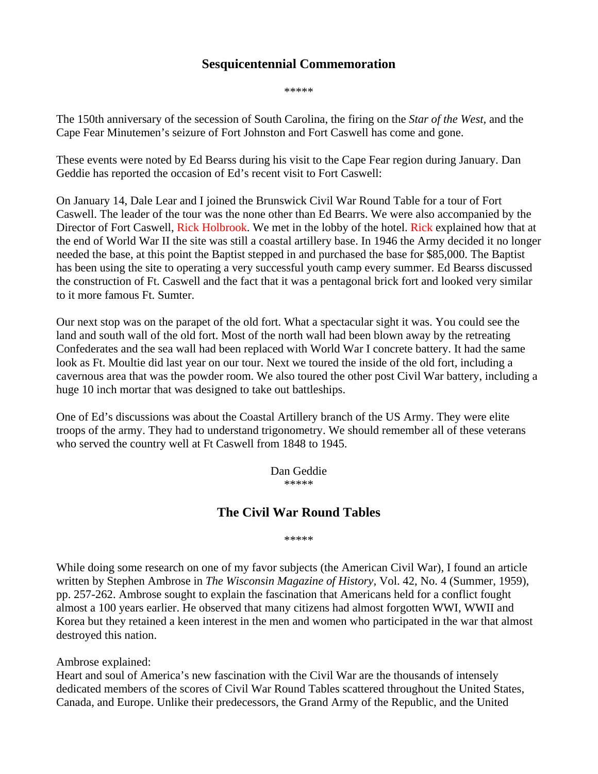### **Sesquicentennial Commemoration**

\*\*\*\*\*

The 150th anniversary of the secession of South Carolina, the firing on the *Star of the West,* and the Cape Fear Minutemen's seizure of Fort Johnston and Fort Caswell has come and gone.

These events were noted by Ed Bearss during his visit to the Cape Fear region during January. Dan Geddie has reported the occasion of Ed's recent visit to Fort Caswell:

On January 14, Dale Lear and I joined the Brunswick Civil War Round Table for a tour of Fort Caswell. The leader of the tour was the none other than Ed Bearrs. We were also accompanied by the Director of Fort Caswell, Rick Holbrook. We met in the lobby of the hotel. Rick explained how that at the end of World War II the site was still a coastal artillery base. In 1946 the Army decided it no longer needed the base, at this point the Baptist stepped in and purchased the base for \$85,000. The Baptist has been using the site to operating a very successful youth camp every summer. Ed Bearss discussed the construction of Ft. Caswell and the fact that it was a pentagonal brick fort and looked very similar to it more famous Ft. Sumter.

Our next stop was on the parapet of the old fort. What a spectacular sight it was. You could see the land and south wall of the old fort. Most of the north wall had been blown away by the retreating Confederates and the sea wall had been replaced with World War I concrete battery. It had the same look as Ft. Moultie did last year on our tour. Next we toured the inside of the old fort, including a cavernous area that was the powder room. We also toured the other post Civil War battery, including a huge 10 inch mortar that was designed to take out battleships.

One of Ed's discussions was about the Coastal Artillery branch of the US Army. They were elite troops of the army. They had to understand trigonometry. We should remember all of these veterans who served the country well at Ft Caswell from 1848 to 1945.

> Dan Geddie \*\*\*\*\*

### **The Civil War Round Tables**

\*\*\*\*\*

While doing some research on one of my favor subjects (the American Civil War), I found an article written by Stephen Ambrose in *The Wisconsin Magazine of History,* Vol. 42, No. 4 (Summer, 1959), pp. 257-262. Ambrose sought to explain the fascination that Americans held for a conflict fought almost a 100 years earlier. He observed that many citizens had almost forgotten WWI, WWII and Korea but they retained a keen interest in the men and women who participated in the war that almost destroyed this nation.

Ambrose explained:

Heart and soul of America's new fascination with the Civil War are the thousands of intensely dedicated members of the scores of Civil War Round Tables scattered throughout the United States, Canada, and Europe. Unlike their predecessors, the Grand Army of the Republic, and the United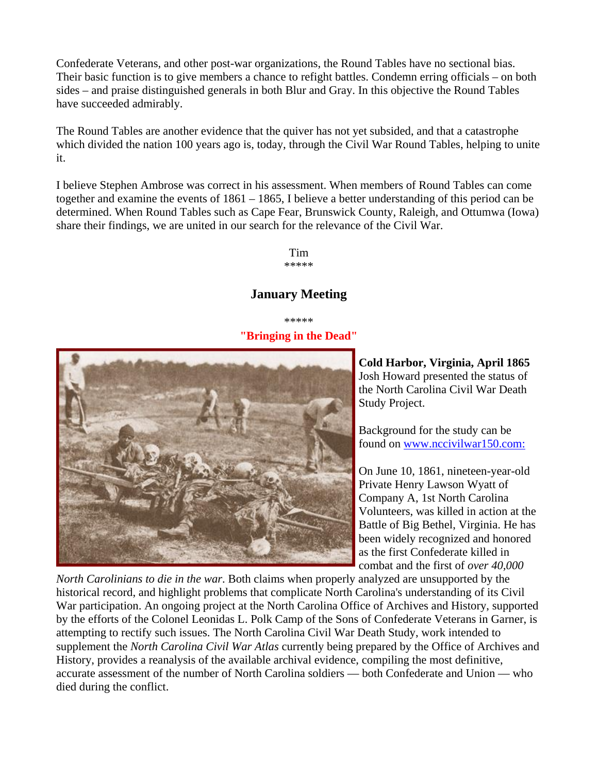Confederate Veterans, and other post-war organizations, the Round Tables have no sectional bias. Their basic function is to give members a chance to refight battles. Condemn erring officials – on both sides – and praise distinguished generals in both Blur and Gray. In this objective the Round Tables have succeeded admirably.

The Round Tables are another evidence that the quiver has not yet subsided, and that a catastrophe which divided the nation 100 years ago is, today, through the Civil War Round Tables, helping to unite it.

I believe Stephen Ambrose was correct in his assessment. When members of Round Tables can come together and examine the events of 1861 – 1865, I believe a better understanding of this period can be determined. When Round Tables such as Cape Fear, Brunswick County, Raleigh, and Ottumwa (Iowa) share their findings, we are united in our search for the relevance of the Civil War.

> Tim \*\*\*\*\*

#### **January Meeting**

\*\*\*\*\* **"Bringing in the Dead"**



**Cold Harbor, Virginia, April 1865** Josh Howard presented the status of the North Carolina Civil War Death Study Project.

Background for the study can be found on [www.nccivilwar150.com:](http://www.nccivilwar150.com/)

On June 10, 1861, nineteen-year-old Private Henry Lawson Wyatt of Company A, 1st North Carolina Volunteers, was killed in action at the Battle of Big Bethel, Virginia. He has been widely recognized and honored as the first Confederate killed in combat and the first of *over 40,000* 

*North Carolinians to die in the war*. Both claims when properly analyzed are unsupported by the historical record, and highlight problems that complicate North Carolina's understanding of its Civil War participation. An ongoing project at the North Carolina Office of Archives and History, supported by the efforts of the Colonel Leonidas L. Polk Camp of the Sons of Confederate Veterans in Garner, is attempting to rectify such issues. The North Carolina Civil War Death Study, work intended to supplement the *North Carolina Civil War Atlas* currently being prepared by the Office of Archives and History, provides a reanalysis of the available archival evidence, compiling the most definitive, accurate assessment of the number of North Carolina soldiers — both Confederate and Union — who died during the conflict.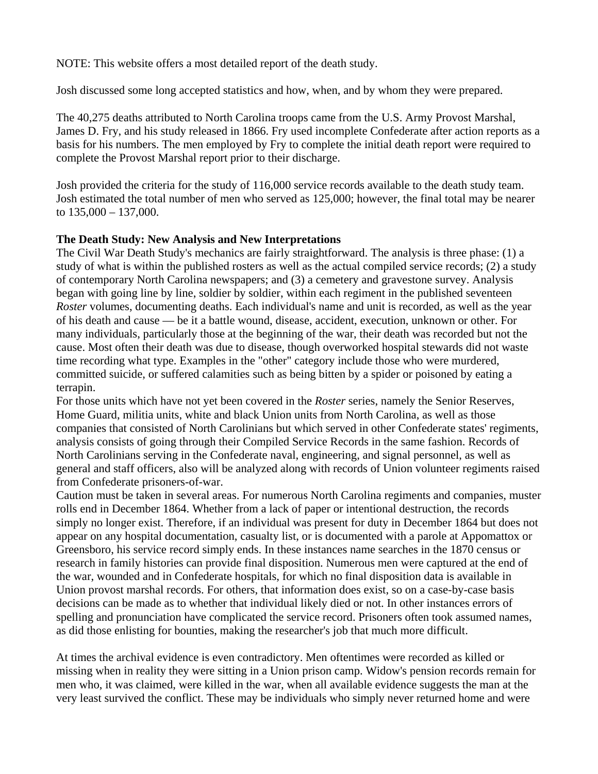NOTE: This website offers a most detailed report of the death study.

Josh discussed some long accepted statistics and how, when, and by whom they were prepared.

The 40,275 deaths attributed to North Carolina troops came from the U.S. Army Provost Marshal, James D. Fry, and his study released in 1866. Fry used incomplete Confederate after action reports as a basis for his numbers. The men employed by Fry to complete the initial death report were required to complete the Provost Marshal report prior to their discharge.

Josh provided the criteria for the study of 116,000 service records available to the death study team. Josh estimated the total number of men who served as 125,000; however, the final total may be nearer to  $135,000 - 137,000$ .

#### **The Death Study: New Analysis and New Interpretations**

The Civil War Death Study's mechanics are fairly straightforward. The analysis is three phase: (1) a study of what is within the published rosters as well as the actual compiled service records; (2) a study of contemporary North Carolina newspapers; and (3) a cemetery and gravestone survey. Analysis began with going line by line, soldier by soldier, within each regiment in the published seventeen *Roster* volumes, documenting deaths. Each individual's name and unit is recorded, as well as the year of his death and cause — be it a battle wound, disease, accident, execution, unknown or other. For many individuals, particularly those at the beginning of the war, their death was recorded but not the cause. Most often their death was due to disease, though overworked hospital stewards did not waste time recording what type. Examples in the "other" category include those who were murdered, committed suicide, or suffered calamities such as being bitten by a spider or poisoned by eating a terrapin.

For those units which have not yet been covered in the *Roster* series, namely the Senior Reserves, Home Guard, militia units, white and black Union units from North Carolina, as well as those companies that consisted of North Carolinians but which served in other Confederate states' regiments, analysis consists of going through their Compiled Service Records in the same fashion. Records of North Carolinians serving in the Confederate naval, engineering, and signal personnel, as well as general and staff officers, also will be analyzed along with records of Union volunteer regiments raised from Confederate prisoners-of-war.

Caution must be taken in several areas. For numerous North Carolina regiments and companies, muster rolls end in December 1864. Whether from a lack of paper or intentional destruction, the records simply no longer exist. Therefore, if an individual was present for duty in December 1864 but does not appear on any hospital documentation, casualty list, or is documented with a parole at Appomattox or Greensboro, his service record simply ends. In these instances name searches in the 1870 census or research in family histories can provide final disposition. Numerous men were captured at the end of the war, wounded and in Confederate hospitals, for which no final disposition data is available in Union provost marshal records. For others, that information does exist, so on a case-by-case basis decisions can be made as to whether that individual likely died or not. In other instances errors of spelling and pronunciation have complicated the service record. Prisoners often took assumed names, as did those enlisting for bounties, making the researcher's job that much more difficult.

At times the archival evidence is even contradictory. Men oftentimes were recorded as killed or missing when in reality they were sitting in a Union prison camp. Widow's pension records remain for men who, it was claimed, were killed in the war, when all available evidence suggests the man at the very least survived the conflict. These may be individuals who simply never returned home and were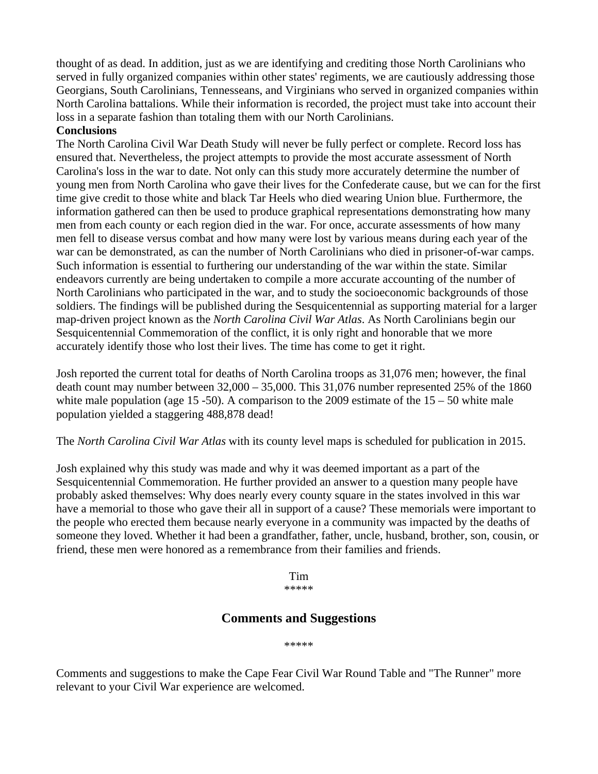thought of as dead. In addition, just as we are identifying and crediting those North Carolinians who served in fully organized companies within other states' regiments, we are cautiously addressing those Georgians, South Carolinians, Tennesseans, and Virginians who served in organized companies within North Carolina battalions. While their information is recorded, the project must take into account their loss in a separate fashion than totaling them with our North Carolinians.

#### **Conclusions**

The North Carolina Civil War Death Study will never be fully perfect or complete. Record loss has ensured that. Nevertheless, the project attempts to provide the most accurate assessment of North Carolina's loss in the war to date. Not only can this study more accurately determine the number of young men from North Carolina who gave their lives for the Confederate cause, but we can for the first time give credit to those white and black Tar Heels who died wearing Union blue. Furthermore, the information gathered can then be used to produce graphical representations demonstrating how many men from each county or each region died in the war. For once, accurate assessments of how many men fell to disease versus combat and how many were lost by various means during each year of the war can be demonstrated, as can the number of North Carolinians who died in prisoner-of-war camps. Such information is essential to furthering our understanding of the war within the state. Similar endeavors currently are being undertaken to compile a more accurate accounting of the number of North Carolinians who participated in the war, and to study the socioeconomic backgrounds of those soldiers. The findings will be published during the Sesquicentennial as supporting material for a larger map-driven project known as the *North Carolina Civil War Atlas*. As North Carolinians begin our Sesquicentennial Commemoration of the conflict, it is only right and honorable that we more accurately identify those who lost their lives. The time has come to get it right.

Josh reported the current total for deaths of North Carolina troops as 31,076 men; however, the final death count may number between 32,000 – 35,000. This 31,076 number represented 25% of the 1860 white male population (age 15 -50). A comparison to the 2009 estimate of the  $15 - 50$  white male population yielded a staggering 488,878 dead!

The *North Carolina Civil War Atlas* with its county level maps is scheduled for publication in 2015.

Josh explained why this study was made and why it was deemed important as a part of the Sesquicentennial Commemoration. He further provided an answer to a question many people have probably asked themselves: Why does nearly every county square in the states involved in this war have a memorial to those who gave their all in support of a cause? These memorials were important to the people who erected them because nearly everyone in a community was impacted by the deaths of someone they loved. Whether it had been a grandfather, father, uncle, husband, brother, son, cousin, or friend, these men were honored as a remembrance from their families and friends.

> Tim \*\*\*\*\*

#### **Comments and Suggestions**

#### \*\*\*\*\*

Comments and suggestions to make the Cape Fear Civil War Round Table and "The Runner" more relevant to your Civil War experience are welcomed.